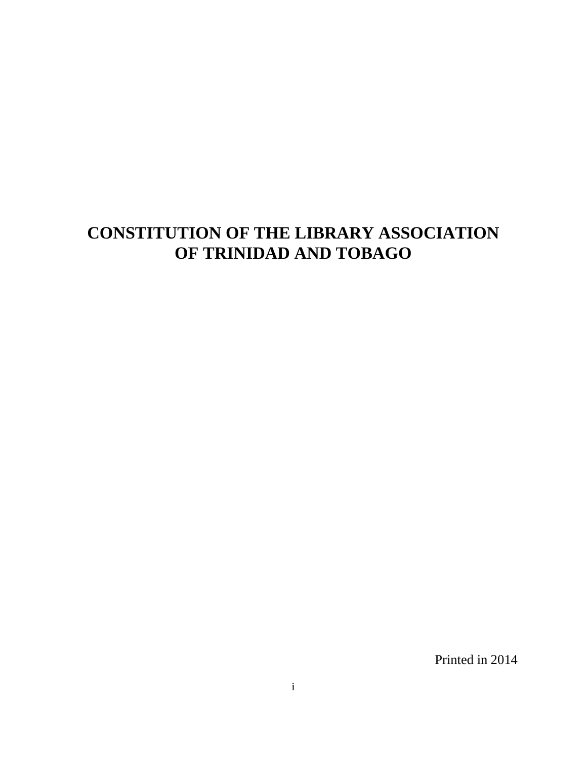# **CONSTITUTION OF THE LIBRARY ASSOCIATION OF TRINIDAD AND TOBAGO**

Printed in 2014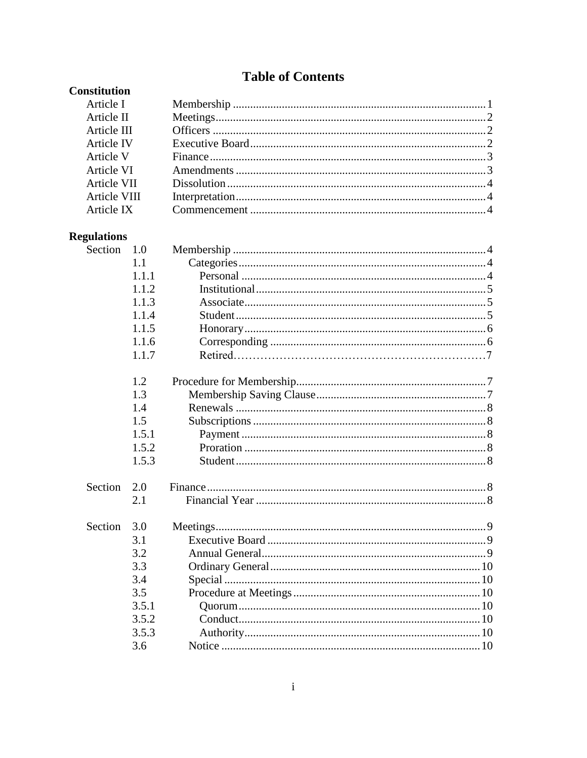## **Table of Contents**

| <b>Constitution</b> |                    |  |
|---------------------|--------------------|--|
| Article I           |                    |  |
| Article II          |                    |  |
| Article III         |                    |  |
| Article IV          |                    |  |
| Article V           |                    |  |
| Article VI          |                    |  |
| Article VII         |                    |  |
| Article VIII        |                    |  |
| Article IX          |                    |  |
| <b>Regulations</b>  |                    |  |
| Section 1.0         |                    |  |
| $1 \quad 1$         | C <sub>other</sub> |  |

| Section | 1.O   |                   |  |
|---------|-------|-------------------|--|
|         | 1.1   |                   |  |
|         | 1.1.1 |                   |  |
|         | 1.1.2 |                   |  |
|         | 1.1.3 |                   |  |
|         | 1.1.4 |                   |  |
|         | 1.1.5 | $H_{\text{0}}(6)$ |  |
|         | 1.1.6 |                   |  |
|         | 1.1.7 |                   |  |
|         | 1.2   |                   |  |
|         | 1.3   |                   |  |
|         | 1.4   |                   |  |
|         | 1.5   |                   |  |
|         | 1.5.1 |                   |  |
|         | 1.5.2 |                   |  |
|         | 1.5.3 |                   |  |
| Section | 2.0   |                   |  |
|         | 2.1   |                   |  |
| Section | 3.0   |                   |  |
|         | 3.1   |                   |  |
|         | 3.2   |                   |  |
|         | 3.3   |                   |  |
|         | 3.4   |                   |  |
|         | 3.5   |                   |  |
|         | 3.5.1 |                   |  |
|         | 3.5.2 |                   |  |
|         | 3.5.3 |                   |  |
|         | 3.6   |                   |  |
|         |       |                   |  |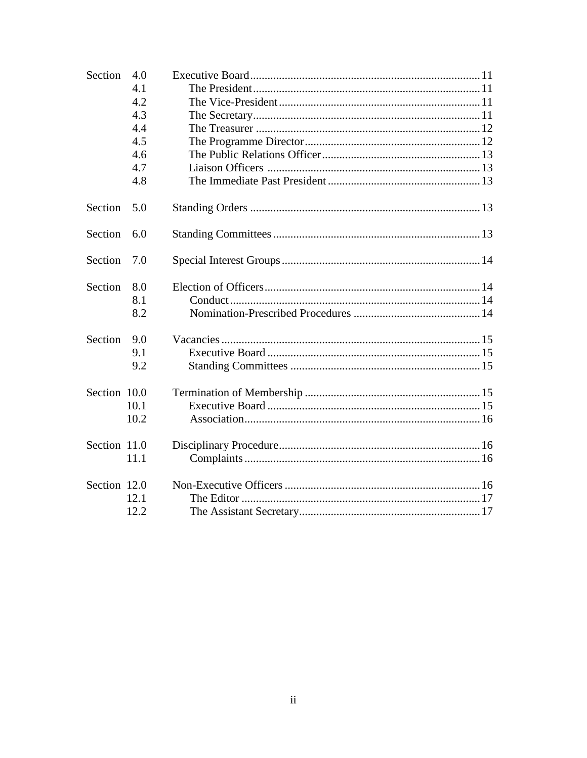| Section      | 4.0  |  |
|--------------|------|--|
|              | 4.1  |  |
|              | 4.2  |  |
|              | 4.3  |  |
|              | 4.4  |  |
|              | 4.5  |  |
|              | 4.6  |  |
|              | 4.7  |  |
|              | 4.8  |  |
| Section      | 5.0  |  |
| Section      | 6.0  |  |
| Section      | 7.0  |  |
| Section      | 8.0  |  |
|              | 8.1  |  |
|              | 8.2  |  |
| Section      | 9.0  |  |
|              | 9.1  |  |
|              | 9.2  |  |
| Section 10.0 |      |  |
|              | 10.1 |  |
|              | 10.2 |  |
| Section 11.0 |      |  |
|              | 11.1 |  |
| Section 12.0 |      |  |
|              | 12.1 |  |
|              | 12.2 |  |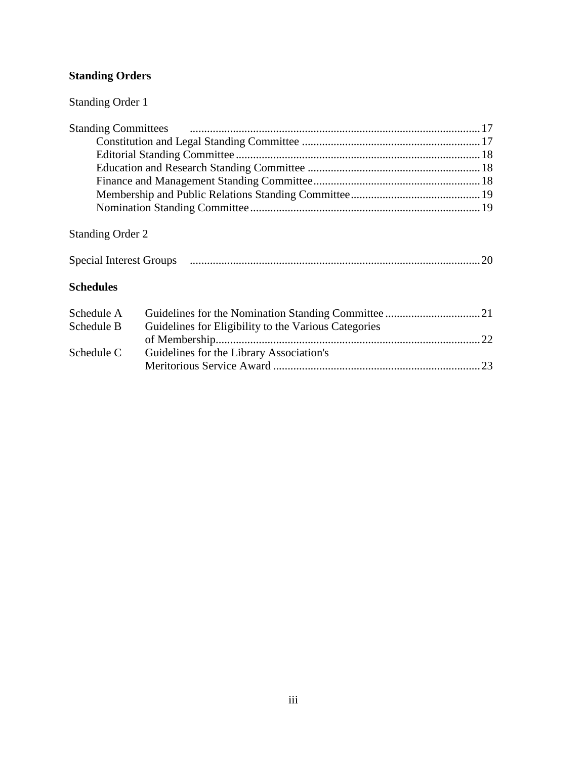### **Standing Orders**

### Standing Order 1

| <b>Standing Order 2</b> | 20 |
|-------------------------|----|
| <b>Schedules</b>        |    |
| Schedule A              | 21 |

| Schedule B | Guidelines for Eligibility to the Various Categories |  |
|------------|------------------------------------------------------|--|
|            |                                                      |  |
| Schedule C | Guidelines for the Library Association's             |  |
|            |                                                      |  |
|            |                                                      |  |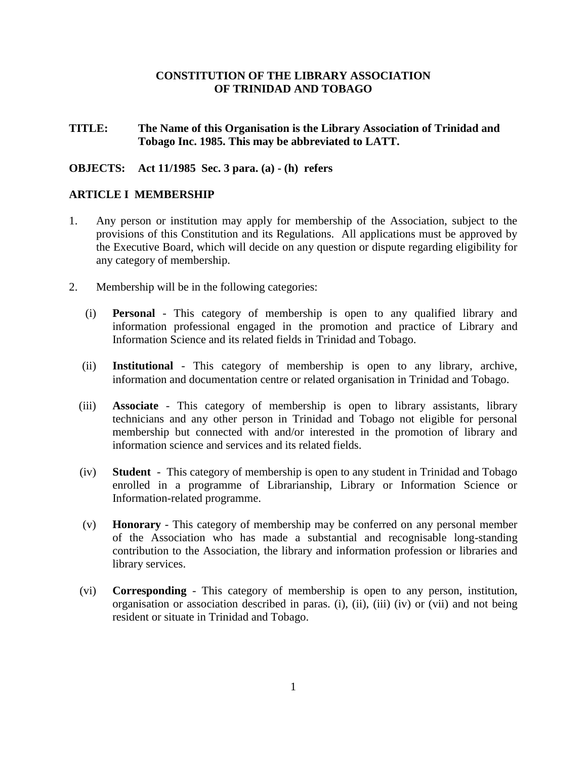### **CONSTITUTION OF THE LIBRARY ASSOCIATION OF TRINIDAD AND TOBAGO**

### **TITLE: The Name of this Organisation is the Library Association of Trinidad and Tobago Inc. 1985. This may be abbreviated to LATT.**

**OBJECTS: Act 11/1985 Sec. 3 para. (a) - (h) refers**

### **ARTICLE I MEMBERSHIP**

- 1. Any person or institution may apply for membership of the Association, subject to the provisions of this Constitution and its Regulations. All applications must be approved by the Executive Board, which will decide on any question or dispute regarding eligibility for any category of membership.
- 2. Membership will be in the following categories:
	- (i) **Personal** This category of membership is open to any qualified library and information professional engaged in the promotion and practice of Library and Information Science and its related fields in Trinidad and Tobago.
	- (ii) **Institutional** This category of membership is open to any library, archive, information and documentation centre or related organisation in Trinidad and Tobago.
	- (iii) **Associate** This category of membership is open to library assistants, library technicians and any other person in Trinidad and Tobago not eligible for personal membership but connected with and/or interested in the promotion of library and information science and services and its related fields.
	- (iv) **Student** This category of membership is open to any student in Trinidad and Tobago enrolled in a programme of Librarianship, Library or Information Science or Information-related programme.
	- (v) **Honorary** This category of membership may be conferred on any personal member of the Association who has made a substantial and recognisable long-standing contribution to the Association, the library and information profession or libraries and library services.
	- (vi) **Corresponding** This category of membership is open to any person, institution, organisation or association described in paras. (i), (ii), (iii) (iv) or (vii) and not being resident or situate in Trinidad and Tobago.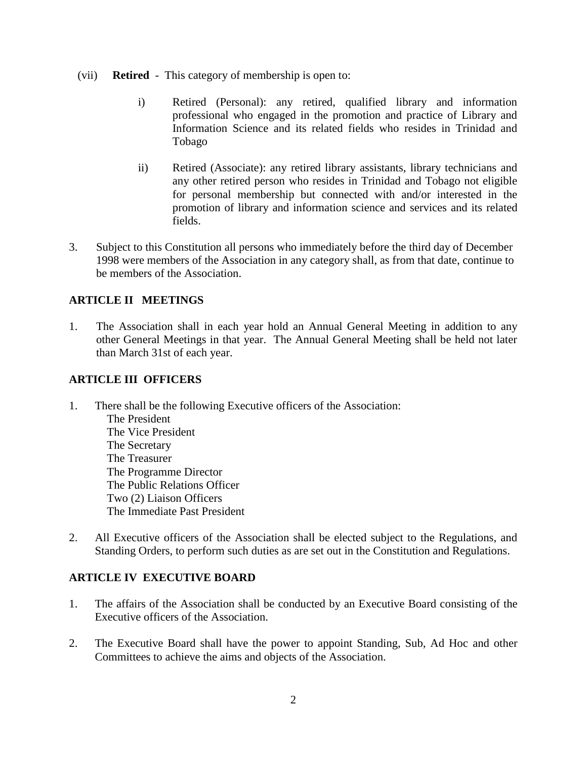- (vii) **Retired**  This category of membership is open to:
	- i) Retired (Personal): any retired, qualified library and information professional who engaged in the promotion and practice of Library and Information Science and its related fields who resides in Trinidad and Tobago
	- ii) Retired (Associate): any retired library assistants, library technicians and any other retired person who resides in Trinidad and Tobago not eligible for personal membership but connected with and/or interested in the promotion of library and information science and services and its related fields.
- 3. Subject to this Constitution all persons who immediately before the third day of December 1998 were members of the Association in any category shall, as from that date, continue to be members of the Association.

### **ARTICLE II MEETINGS**

1. The Association shall in each year hold an Annual General Meeting in addition to any other General Meetings in that year. The Annual General Meeting shall be held not later than March 31st of each year.

### **ARTICLE III OFFICERS**

- 1. There shall be the following Executive officers of the Association:
	- The President The Vice President The Secretary The Treasurer The Programme Director The Public Relations Officer Two (2) Liaison Officers The Immediate Past President
- 2. All Executive officers of the Association shall be elected subject to the Regulations, and Standing Orders, to perform such duties as are set out in the Constitution and Regulations.

### **ARTICLE IV EXECUTIVE BOARD**

- 1. The affairs of the Association shall be conducted by an Executive Board consisting of the Executive officers of the Association.
- 2. The Executive Board shall have the power to appoint Standing, Sub, Ad Hoc and other Committees to achieve the aims and objects of the Association.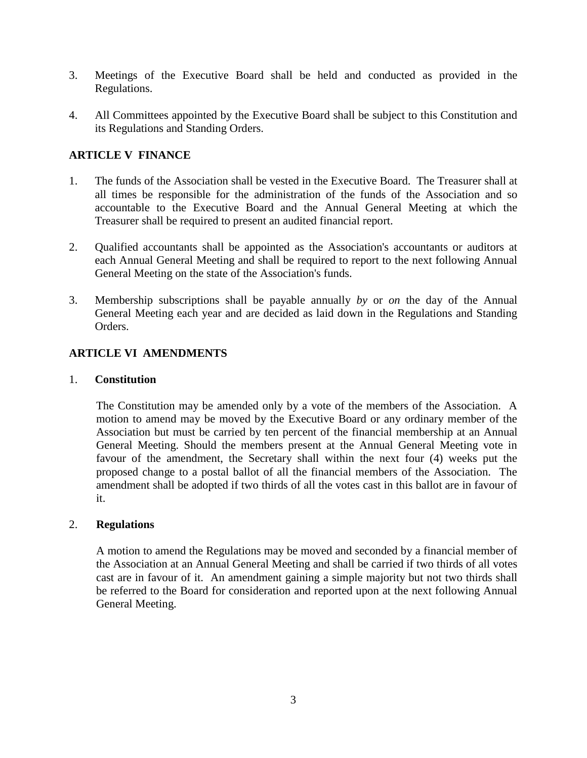- 3. Meetings of the Executive Board shall be held and conducted as provided in the Regulations.
- 4. All Committees appointed by the Executive Board shall be subject to this Constitution and its Regulations and Standing Orders.

### **ARTICLE V FINANCE**

- 1. The funds of the Association shall be vested in the Executive Board. The Treasurer shall at all times be responsible for the administration of the funds of the Association and so accountable to the Executive Board and the Annual General Meeting at which the Treasurer shall be required to present an audited financial report.
- 2. Qualified accountants shall be appointed as the Association's accountants or auditors at each Annual General Meeting and shall be required to report to the next following Annual General Meeting on the state of the Association's funds.
- 3. Membership subscriptions shall be payable annually *by* or *on* the day of the Annual General Meeting each year and are decided as laid down in the Regulations and Standing Orders.

### **ARTICLE VI AMENDMENTS**

### 1. **Constitution**

The Constitution may be amended only by a vote of the members of the Association. A motion to amend may be moved by the Executive Board or any ordinary member of the Association but must be carried by ten percent of the financial membership at an Annual General Meeting. Should the members present at the Annual General Meeting vote in favour of the amendment, the Secretary shall within the next four (4) weeks put the proposed change to a postal ballot of all the financial members of the Association. The amendment shall be adopted if two thirds of all the votes cast in this ballot are in favour of it.

### 2. **Regulations**

A motion to amend the Regulations may be moved and seconded by a financial member of the Association at an Annual General Meeting and shall be carried if two thirds of all votes cast are in favour of it. An amendment gaining a simple majority but not two thirds shall be referred to the Board for consideration and reported upon at the next following Annual General Meeting.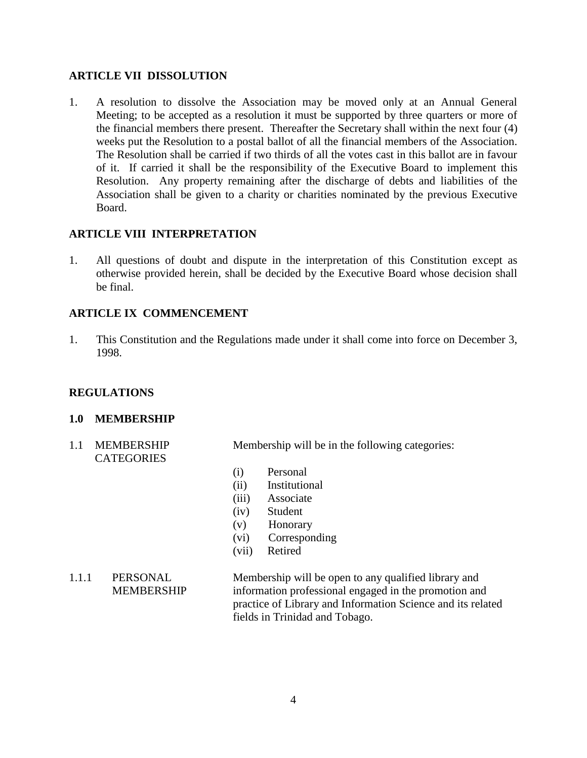### **ARTICLE VII DISSOLUTION**

1. A resolution to dissolve the Association may be moved only at an Annual General Meeting; to be accepted as a resolution it must be supported by three quarters or more of the financial members there present. Thereafter the Secretary shall within the next four (4) weeks put the Resolution to a postal ballot of all the financial members of the Association. The Resolution shall be carried if two thirds of all the votes cast in this ballot are in favour of it. If carried it shall be the responsibility of the Executive Board to implement this Resolution. Any property remaining after the discharge of debts and liabilities of the Association shall be given to a charity or charities nominated by the previous Executive Board.

### **ARTICLE VIII INTERPRETATION**

1. All questions of doubt and dispute in the interpretation of this Constitution except as otherwise provided herein, shall be decided by the Executive Board whose decision shall be final.

### **ARTICLE IX COMMENCEMENT**

1. This Constitution and the Regulations made under it shall come into force on December 3, 1998.

### **REGULATIONS**

### **1.0 MEMBERSHIP**

- **CATEGORIES**
- 1.1 MEMBERSHIP Membership will be in the following categories:
	- (i) Personal
	- (ii) Institutional
	- (iii) Associate
	- (iv) Student
	- (v) Honorary
	- (vi) Corresponding
	- (vii) Retired
- 1.1.1 PERSONAL Membership will be open to any qualified library and MEMBERSHIP information professional engaged in the promotion and practice of Library and Information Science and its related fields in Trinidad and Tobago.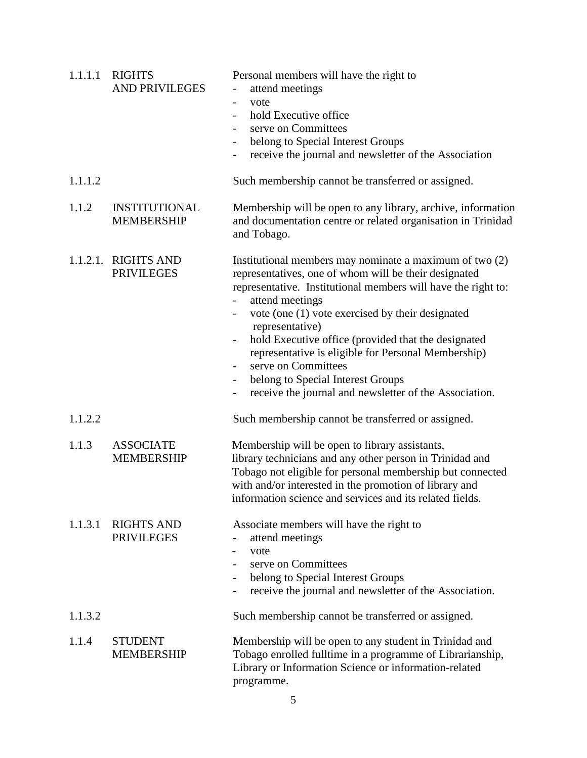| 1.1.1.1 | <b>RIGHTS</b><br><b>AND PRIVILEGES</b>    | Personal members will have the right to<br>attend meetings<br>vote<br>hold Executive office<br>serve on Committees<br>belong to Special Interest Groups<br>$\overline{\phantom{0}}$<br>receive the journal and newsletter of the Association                                                                                                                                                                                                                                                                                                                                                 |
|---------|-------------------------------------------|----------------------------------------------------------------------------------------------------------------------------------------------------------------------------------------------------------------------------------------------------------------------------------------------------------------------------------------------------------------------------------------------------------------------------------------------------------------------------------------------------------------------------------------------------------------------------------------------|
| 1.1.1.2 |                                           | Such membership cannot be transferred or assigned.                                                                                                                                                                                                                                                                                                                                                                                                                                                                                                                                           |
| 1.1.2   | <b>INSTITUTIONAL</b><br><b>MEMBERSHIP</b> | Membership will be open to any library, archive, information<br>and documentation centre or related organisation in Trinidad<br>and Tobago.                                                                                                                                                                                                                                                                                                                                                                                                                                                  |
|         | 1.1.2.1. RIGHTS AND<br><b>PRIVILEGES</b>  | Institutional members may nominate a maximum of two $(2)$<br>representatives, one of whom will be their designated<br>representative. Institutional members will have the right to:<br>attend meetings<br>vote (one (1) vote exercised by their designated<br>$\qquad \qquad -$<br>representative)<br>hold Executive office (provided that the designated<br>$\overline{\phantom{a}}$<br>representative is eligible for Personal Membership)<br>serve on Committees<br>belong to Special Interest Groups<br>$\qquad \qquad -$<br>receive the journal and newsletter of the Association.<br>- |
| 1.1.2.2 |                                           | Such membership cannot be transferred or assigned.                                                                                                                                                                                                                                                                                                                                                                                                                                                                                                                                           |
| 1.1.3   | <b>ASSOCIATE</b><br><b>MEMBERSHIP</b>     | Membership will be open to library assistants,<br>library technicians and any other person in Trinidad and<br>Tobago not eligible for personal membership but connected<br>with and/or interested in the promotion of library and<br>information science and services and its related fields.                                                                                                                                                                                                                                                                                                |
| 1.1.3.1 | <b>RIGHTS AND</b><br><b>PRIVILEGES</b>    | Associate members will have the right to<br>attend meetings<br>vote<br>serve on Committees<br>belong to Special Interest Groups<br>$\overline{\phantom{0}}$<br>receive the journal and newsletter of the Association.                                                                                                                                                                                                                                                                                                                                                                        |
| 1.1.3.2 |                                           | Such membership cannot be transferred or assigned.                                                                                                                                                                                                                                                                                                                                                                                                                                                                                                                                           |
| 1.1.4   | <b>STUDENT</b><br><b>MEMBERSHIP</b>       | Membership will be open to any student in Trinidad and<br>Tobago enrolled fulltime in a programme of Librarianship,<br>Library or Information Science or information-related<br>programme.                                                                                                                                                                                                                                                                                                                                                                                                   |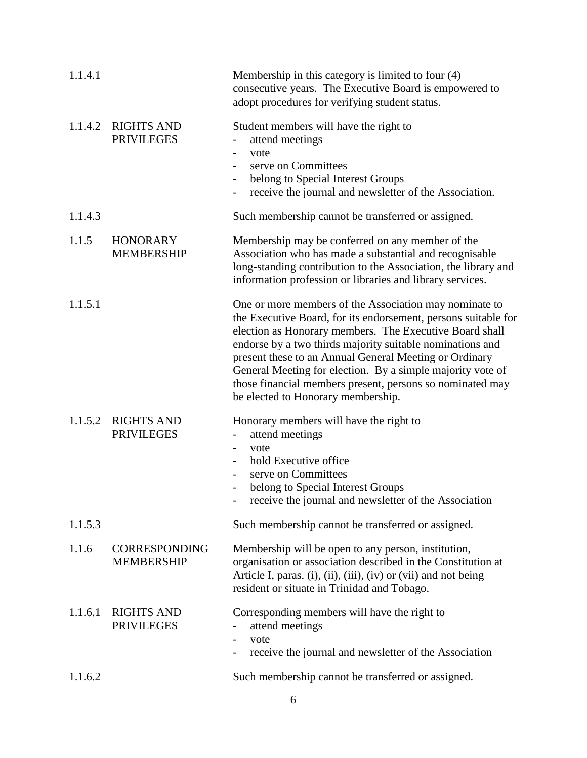| 1.1.4.1 |                                           | Membership in this category is limited to four (4)<br>consecutive years. The Executive Board is empowered to<br>adopt procedures for verifying student status.                                                                                                                                                                                                                                                                                                              |
|---------|-------------------------------------------|-----------------------------------------------------------------------------------------------------------------------------------------------------------------------------------------------------------------------------------------------------------------------------------------------------------------------------------------------------------------------------------------------------------------------------------------------------------------------------|
| 1.1.4.2 | <b>RIGHTS AND</b><br><b>PRIVILEGES</b>    | Student members will have the right to<br>attend meetings<br>$\overline{\phantom{a}}$<br>vote<br>serve on Committees<br>belong to Special Interest Groups<br>$\overline{\phantom{a}}$<br>receive the journal and newsletter of the Association.                                                                                                                                                                                                                             |
| 1.1.4.3 |                                           | Such membership cannot be transferred or assigned.                                                                                                                                                                                                                                                                                                                                                                                                                          |
| 1.1.5   | <b>HONORARY</b><br><b>MEMBERSHIP</b>      | Membership may be conferred on any member of the<br>Association who has made a substantial and recognisable<br>long-standing contribution to the Association, the library and<br>information profession or libraries and library services.                                                                                                                                                                                                                                  |
| 1.1.5.1 |                                           | One or more members of the Association may nominate to<br>the Executive Board, for its endorsement, persons suitable for<br>election as Honorary members. The Executive Board shall<br>endorse by a two thirds majority suitable nominations and<br>present these to an Annual General Meeting or Ordinary<br>General Meeting for election. By a simple majority vote of<br>those financial members present, persons so nominated may<br>be elected to Honorary membership. |
| 1.1.5.2 | <b>RIGHTS AND</b><br><b>PRIVILEGES</b>    | Honorary members will have the right to<br>attend meetings<br>vote<br>$\blacksquare$<br>hold Executive office<br>$\overline{\phantom{a}}$<br>serve on Committees<br>belong to Special Interest Groups<br>receive the journal and newsletter of the Association                                                                                                                                                                                                              |
| 1.1.5.3 |                                           | Such membership cannot be transferred or assigned.                                                                                                                                                                                                                                                                                                                                                                                                                          |
| 1.1.6   | <b>CORRESPONDING</b><br><b>MEMBERSHIP</b> | Membership will be open to any person, institution,<br>organisation or association described in the Constitution at<br>Article I, paras. (i), (ii), (iii), (iv) or (vii) and not being<br>resident or situate in Trinidad and Tobago.                                                                                                                                                                                                                                       |
| 1.1.6.1 | <b>RIGHTS AND</b><br><b>PRIVILEGES</b>    | Corresponding members will have the right to<br>attend meetings<br>vote<br>$\overline{\phantom{0}}$<br>receive the journal and newsletter of the Association                                                                                                                                                                                                                                                                                                                |
| 1.1.6.2 |                                           | Such membership cannot be transferred or assigned.                                                                                                                                                                                                                                                                                                                                                                                                                          |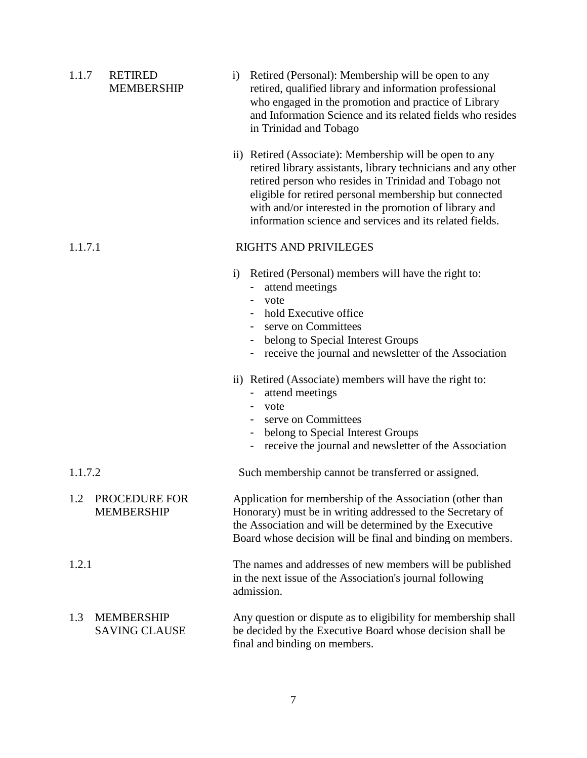| 1.1.7   | <b>RETIRED</b><br><b>MEMBERSHIP</b>       | Retired (Personal): Membership will be open to any<br>$\mathbf{i}$<br>retired, qualified library and information professional<br>who engaged in the promotion and practice of Library<br>and Information Science and its related fields who resides<br>in Trinidad and Tobago                                                                                                                                                                        |
|---------|-------------------------------------------|------------------------------------------------------------------------------------------------------------------------------------------------------------------------------------------------------------------------------------------------------------------------------------------------------------------------------------------------------------------------------------------------------------------------------------------------------|
|         |                                           | ii) Retired (Associate): Membership will be open to any<br>retired library assistants, library technicians and any other<br>retired person who resides in Trinidad and Tobago not<br>eligible for retired personal membership but connected<br>with and/or interested in the promotion of library and<br>information science and services and its related fields.                                                                                    |
| 1.1.7.1 |                                           | <b>RIGHTS AND PRIVILEGES</b>                                                                                                                                                                                                                                                                                                                                                                                                                         |
|         |                                           | Retired (Personal) members will have the right to:<br>$\ddot{a}$<br>attend meetings<br>vote<br>hold Executive office<br>serve on Committees<br>belong to Special Interest Groups<br>receive the journal and newsletter of the Association<br>ii) Retired (Associate) members will have the right to:<br>attend meetings<br>vote<br>serve on Committees<br>belong to Special Interest Groups<br>receive the journal and newsletter of the Association |
| 1.1.7.2 |                                           | Such membership cannot be transferred or assigned.                                                                                                                                                                                                                                                                                                                                                                                                   |
| 1.2     | PROCEDURE FOR<br><b>MEMBERSHIP</b>        | Application for membership of the Association (other than<br>Honorary) must be in writing addressed to the Secretary of<br>the Association and will be determined by the Executive<br>Board whose decision will be final and binding on members.                                                                                                                                                                                                     |
| 1.2.1   |                                           | The names and addresses of new members will be published<br>in the next issue of the Association's journal following<br>admission.                                                                                                                                                                                                                                                                                                                   |
| 1.3     | <b>MEMBERSHIP</b><br><b>SAVING CLAUSE</b> | Any question or dispute as to eligibility for membership shall<br>be decided by the Executive Board whose decision shall be<br>final and binding on members.                                                                                                                                                                                                                                                                                         |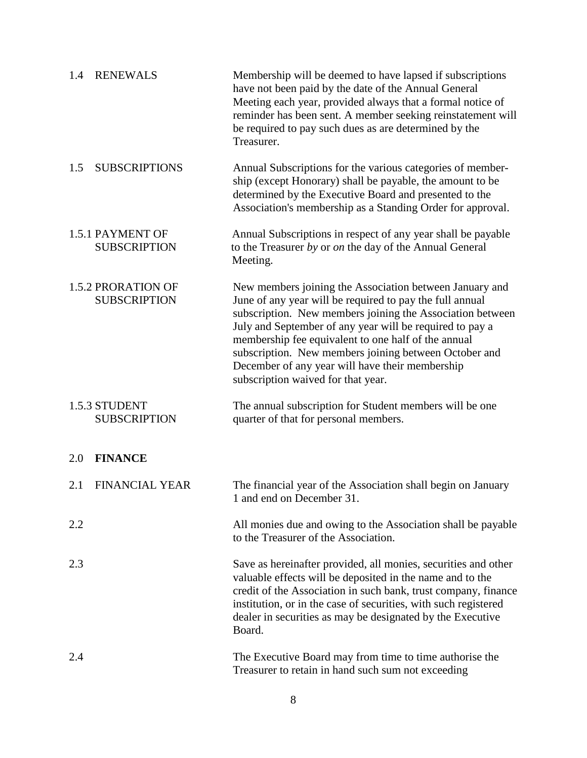| 1.4 | <b>RENEWALS</b>                                  | Membership will be deemed to have lapsed if subscriptions<br>have not been paid by the date of the Annual General<br>Meeting each year, provided always that a formal notice of<br>reminder has been sent. A member seeking reinstatement will<br>be required to pay such dues as are determined by the<br>Treasurer.                                                                                                                                 |
|-----|--------------------------------------------------|-------------------------------------------------------------------------------------------------------------------------------------------------------------------------------------------------------------------------------------------------------------------------------------------------------------------------------------------------------------------------------------------------------------------------------------------------------|
| 1.5 | <b>SUBSCRIPTIONS</b>                             | Annual Subscriptions for the various categories of member-<br>ship (except Honorary) shall be payable, the amount to be<br>determined by the Executive Board and presented to the<br>Association's membership as a Standing Order for approval.                                                                                                                                                                                                       |
|     | 1.5.1 PAYMENT OF<br><b>SUBSCRIPTION</b>          | Annual Subscriptions in respect of any year shall be payable<br>to the Treasurer by or on the day of the Annual General<br>Meeting.                                                                                                                                                                                                                                                                                                                   |
|     | <b>1.5.2 PRORATION OF</b><br><b>SUBSCRIPTION</b> | New members joining the Association between January and<br>June of any year will be required to pay the full annual<br>subscription. New members joining the Association between<br>July and September of any year will be required to pay a<br>membership fee equivalent to one half of the annual<br>subscription. New members joining between October and<br>December of any year will have their membership<br>subscription waived for that year. |
|     | 1.5.3 STUDENT<br><b>SUBSCRIPTION</b>             | The annual subscription for Student members will be one<br>quarter of that for personal members.                                                                                                                                                                                                                                                                                                                                                      |
| 2.0 | <b>FINANCE</b>                                   |                                                                                                                                                                                                                                                                                                                                                                                                                                                       |
| 2.1 | <b>FINANCIAL YEAR</b>                            | The financial year of the Association shall begin on January<br>1 and end on December 31.                                                                                                                                                                                                                                                                                                                                                             |
| 2.2 |                                                  | All monies due and owing to the Association shall be payable<br>to the Treasurer of the Association.                                                                                                                                                                                                                                                                                                                                                  |
| 2.3 |                                                  | Save as hereinafter provided, all monies, securities and other<br>valuable effects will be deposited in the name and to the<br>credit of the Association in such bank, trust company, finance<br>institution, or in the case of securities, with such registered<br>dealer in securities as may be designated by the Executive<br>Board.                                                                                                              |
| 2.4 |                                                  | The Executive Board may from time to time authorise the<br>Treasurer to retain in hand such sum not exceeding                                                                                                                                                                                                                                                                                                                                         |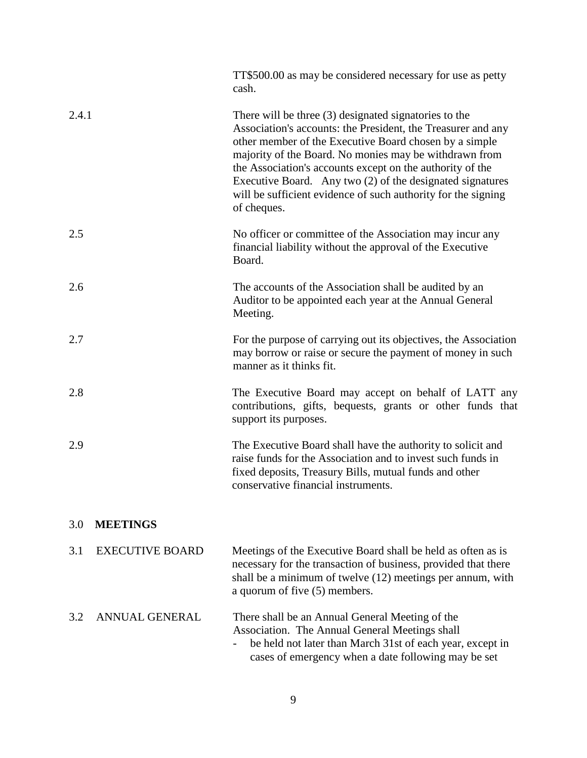|       |                        | TT\$500.00 as may be considered necessary for use as petty<br>cash.                                                                                                                                                                                                                                                                                                                                                                                   |
|-------|------------------------|-------------------------------------------------------------------------------------------------------------------------------------------------------------------------------------------------------------------------------------------------------------------------------------------------------------------------------------------------------------------------------------------------------------------------------------------------------|
| 2.4.1 |                        | There will be three $(3)$ designated signatories to the<br>Association's accounts: the President, the Treasurer and any<br>other member of the Executive Board chosen by a simple<br>majority of the Board. No monies may be withdrawn from<br>the Association's accounts except on the authority of the<br>Executive Board. Any two (2) of the designated signatures<br>will be sufficient evidence of such authority for the signing<br>of cheques. |
| 2.5   |                        | No officer or committee of the Association may incur any<br>financial liability without the approval of the Executive<br>Board.                                                                                                                                                                                                                                                                                                                       |
| 2.6   |                        | The accounts of the Association shall be audited by an<br>Auditor to be appointed each year at the Annual General<br>Meeting.                                                                                                                                                                                                                                                                                                                         |
| 2.7   |                        | For the purpose of carrying out its objectives, the Association<br>may borrow or raise or secure the payment of money in such<br>manner as it thinks fit.                                                                                                                                                                                                                                                                                             |
| 2.8   |                        | The Executive Board may accept on behalf of LATT any<br>contributions, gifts, bequests, grants or other funds that<br>support its purposes.                                                                                                                                                                                                                                                                                                           |
| 2.9   |                        | The Executive Board shall have the authority to solicit and<br>raise funds for the Association and to invest such funds in<br>fixed deposits, Treasury Bills, mutual funds and other<br>conservative financial instruments.                                                                                                                                                                                                                           |
| 3.0   | <b>MEETINGS</b>        |                                                                                                                                                                                                                                                                                                                                                                                                                                                       |
| 3.1   | <b>EXECUTIVE BOARD</b> | Meetings of the Executive Board shall be held as often as is<br>necessary for the transaction of business, provided that there<br>shall be a minimum of twelve (12) meetings per annum, with<br>a quorum of five (5) members.                                                                                                                                                                                                                         |
| 3.2   | <b>ANNUAL GENERAL</b>  | There shall be an Annual General Meeting of the<br>Association. The Annual General Meetings shall<br>be held not later than March 31st of each year, except in<br>cases of emergency when a date following may be set                                                                                                                                                                                                                                 |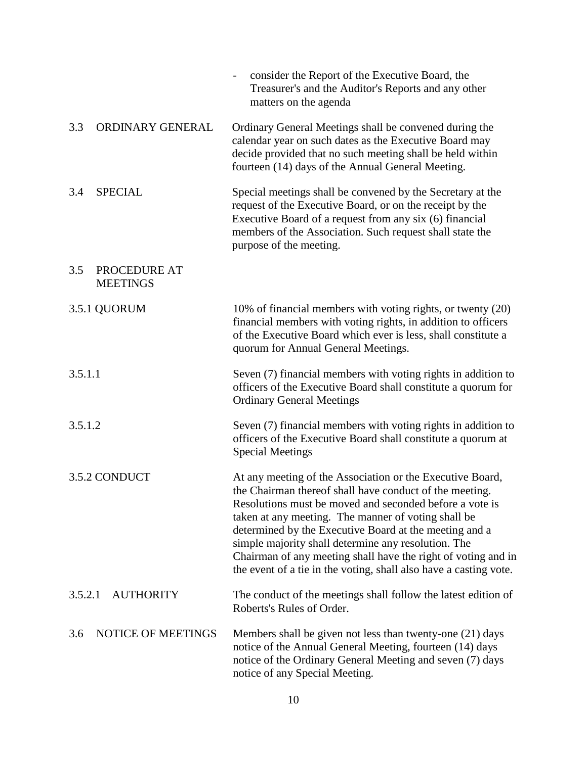|         |                                 | consider the Report of the Executive Board, the<br>Treasurer's and the Auditor's Reports and any other<br>matters on the agenda                                                                                                                                                                                                                                                                                                                                                               |
|---------|---------------------------------|-----------------------------------------------------------------------------------------------------------------------------------------------------------------------------------------------------------------------------------------------------------------------------------------------------------------------------------------------------------------------------------------------------------------------------------------------------------------------------------------------|
| 3.3     | ORDINARY GENERAL                | Ordinary General Meetings shall be convened during the<br>calendar year on such dates as the Executive Board may<br>decide provided that no such meeting shall be held within<br>fourteen (14) days of the Annual General Meeting.                                                                                                                                                                                                                                                            |
| 3.4     | <b>SPECIAL</b>                  | Special meetings shall be convened by the Secretary at the<br>request of the Executive Board, or on the receipt by the<br>Executive Board of a request from any six (6) financial<br>members of the Association. Such request shall state the<br>purpose of the meeting.                                                                                                                                                                                                                      |
| 3.5     | PROCEDURE AT<br><b>MEETINGS</b> |                                                                                                                                                                                                                                                                                                                                                                                                                                                                                               |
|         | 3.5.1 QUORUM                    | 10% of financial members with voting rights, or twenty (20)<br>financial members with voting rights, in addition to officers<br>of the Executive Board which ever is less, shall constitute a<br>quorum for Annual General Meetings.                                                                                                                                                                                                                                                          |
| 3.5.1.1 |                                 | Seven (7) financial members with voting rights in addition to<br>officers of the Executive Board shall constitute a quorum for<br><b>Ordinary General Meetings</b>                                                                                                                                                                                                                                                                                                                            |
| 3.5.1.2 |                                 | Seven (7) financial members with voting rights in addition to<br>officers of the Executive Board shall constitute a quorum at<br><b>Special Meetings</b>                                                                                                                                                                                                                                                                                                                                      |
|         | 3.5.2 CONDUCT                   | At any meeting of the Association or the Executive Board,<br>the Chairman thereof shall have conduct of the meeting.<br>Resolutions must be moved and seconded before a vote is<br>taken at any meeting. The manner of voting shall be<br>determined by the Executive Board at the meeting and a<br>simple majority shall determine any resolution. The<br>Chairman of any meeting shall have the right of voting and in<br>the event of a tie in the voting, shall also have a casting vote. |
| 3.5.2.1 | <b>AUTHORITY</b>                | The conduct of the meetings shall follow the latest edition of<br>Roberts's Rules of Order.                                                                                                                                                                                                                                                                                                                                                                                                   |
| 3.6     | NOTICE OF MEETINGS              | Members shall be given not less than twenty-one $(21)$ days<br>notice of the Annual General Meeting, fourteen (14) days<br>notice of the Ordinary General Meeting and seven (7) days<br>notice of any Special Meeting.                                                                                                                                                                                                                                                                        |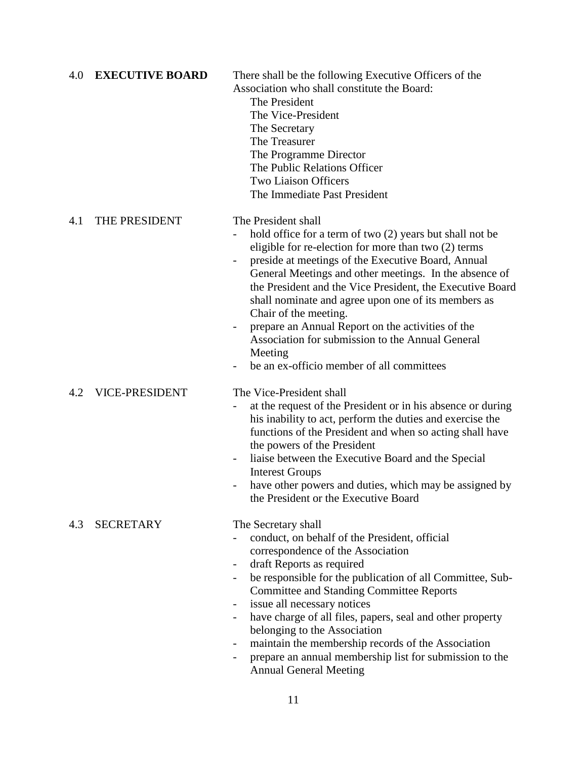| 4.0 | <b>EXECUTIVE BOARD</b> | There shall be the following Executive Officers of the<br>Association who shall constitute the Board:<br>The President<br>The Vice-President<br>The Secretary<br>The Treasurer<br>The Programme Director<br>The Public Relations Officer<br><b>Two Liaison Officers</b><br>The Immediate Past President                                                                                                                                                                                                                                                                                                                                                   |
|-----|------------------------|-----------------------------------------------------------------------------------------------------------------------------------------------------------------------------------------------------------------------------------------------------------------------------------------------------------------------------------------------------------------------------------------------------------------------------------------------------------------------------------------------------------------------------------------------------------------------------------------------------------------------------------------------------------|
| 4.1 | THE PRESIDENT          | The President shall<br>hold office for a term of two (2) years but shall not be<br>eligible for re-election for more than two (2) terms<br>preside at meetings of the Executive Board, Annual<br>General Meetings and other meetings. In the absence of<br>the President and the Vice President, the Executive Board<br>shall nominate and agree upon one of its members as<br>Chair of the meeting.<br>prepare an Annual Report on the activities of the<br>Association for submission to the Annual General<br>Meeting<br>be an ex-officio member of all committees                                                                                     |
| 4.2 | <b>VICE-PRESIDENT</b>  | The Vice-President shall<br>at the request of the President or in his absence or during<br>his inability to act, perform the duties and exercise the<br>functions of the President and when so acting shall have<br>the powers of the President<br>liaise between the Executive Board and the Special<br><b>Interest Groups</b><br>have other powers and duties, which may be assigned by<br>the President or the Executive Board                                                                                                                                                                                                                         |
| 4.3 | <b>SECRETARY</b>       | The Secretary shall<br>conduct, on behalf of the President, official<br>correspondence of the Association<br>draft Reports as required<br>$\overline{\phantom{a}}$<br>be responsible for the publication of all Committee, Sub-<br>$\overline{\phantom{0}}$<br><b>Committee and Standing Committee Reports</b><br>issue all necessary notices<br>have charge of all files, papers, seal and other property<br>$\overline{\phantom{a}}$<br>belonging to the Association<br>maintain the membership records of the Association<br>$\overline{\phantom{0}}$<br>prepare an annual membership list for submission to the<br>-<br><b>Annual General Meeting</b> |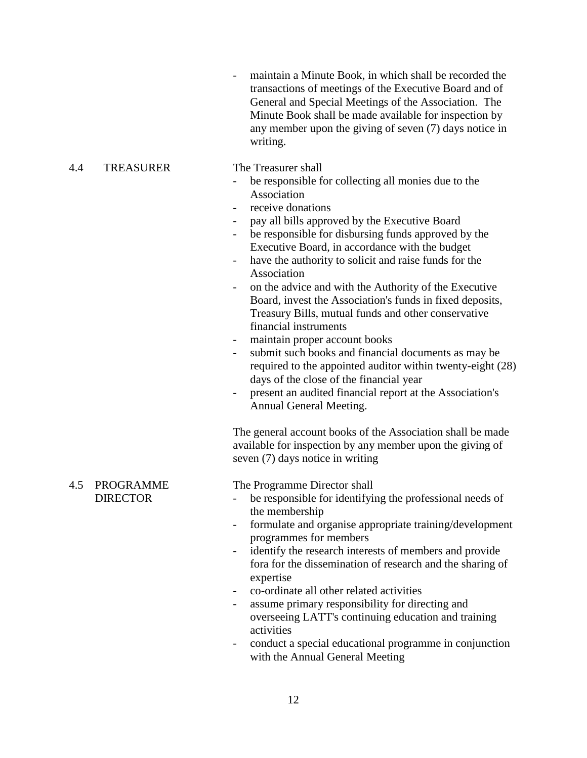maintain a Minute Book, in which shall be recorded the transactions of meetings of the Executive Board and of General and Special Meetings of the Association. The Minute Book shall be made available for inspection by any member upon the giving of seven (7) days notice in writing.

### 4.4 TREASURER The Treasurer shall

- 
- be responsible for collecting all monies due to the Association
- receive donations
- pay all bills approved by the Executive Board
- be responsible for disbursing funds approved by the Executive Board, in accordance with the budget
- have the authority to solicit and raise funds for the Association
- on the advice and with the Authority of the Executive Board, invest the Association's funds in fixed deposits, Treasury Bills, mutual funds and other conservative financial instruments
- maintain proper account books
- submit such books and financial documents as may be required to the appointed auditor within twenty-eight (28) days of the close of the financial year
- present an audited financial report at the Association's Annual General Meeting.

The general account books of the Association shall be made available for inspection by any member upon the giving of seven (7) days notice in writing

4.5 PROGRAMME The Programme Director shall

- DIRECTOR be responsible for identifying the professional needs of the membership
	- formulate and organise appropriate training/development programmes for members
	- identify the research interests of members and provide fora for the dissemination of research and the sharing of expertise
	- co-ordinate all other related activities
	- assume primary responsibility for directing and overseeing LATT's continuing education and training activities
	- conduct a special educational programme in conjunction with the Annual General Meeting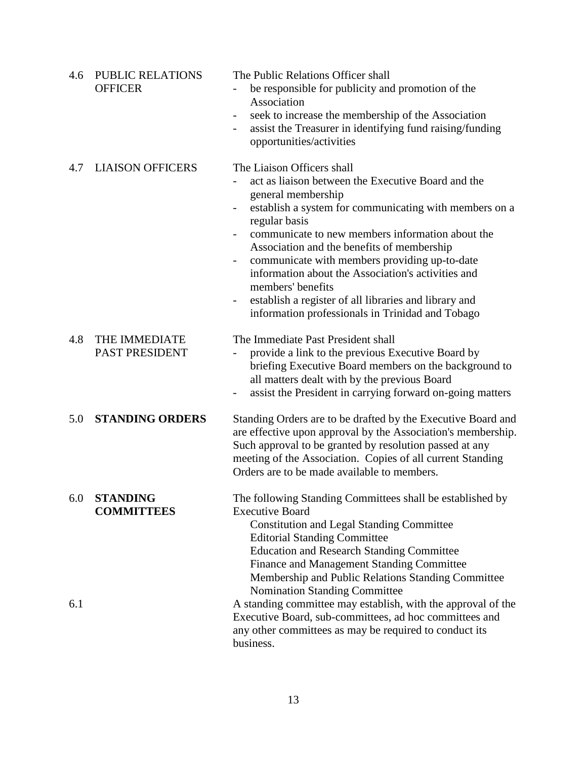| 4.6 | <b>PUBLIC RELATIONS</b><br><b>OFFICER</b> | The Public Relations Officer shall<br>be responsible for publicity and promotion of the<br>Association<br>seek to increase the membership of the Association<br>$\overline{\phantom{a}}$<br>assist the Treasurer in identifying fund raising/funding<br>opportunities/activities                                                                                                                                                                                                                                             |
|-----|-------------------------------------------|------------------------------------------------------------------------------------------------------------------------------------------------------------------------------------------------------------------------------------------------------------------------------------------------------------------------------------------------------------------------------------------------------------------------------------------------------------------------------------------------------------------------------|
| 4.7 | <b>LIAISON OFFICERS</b>                   | The Liaison Officers shall<br>act as liaison between the Executive Board and the<br>general membership<br>establish a system for communicating with members on a<br>regular basis<br>communicate to new members information about the<br>Association and the benefits of membership<br>communicate with members providing up-to-date<br>information about the Association's activities and<br>members' benefits<br>establish a register of all libraries and library and<br>information professionals in Trinidad and Tobago |
| 4.8 | THE IMMEDIATE<br>PAST PRESIDENT           | The Immediate Past President shall<br>provide a link to the previous Executive Board by<br>briefing Executive Board members on the background to<br>all matters dealt with by the previous Board<br>assist the President in carrying forward on-going matters                                                                                                                                                                                                                                                                |
| 5.0 | <b>STANDING ORDERS</b>                    | Standing Orders are to be drafted by the Executive Board and<br>are effective upon approval by the Association's membership.<br>Such approval to be granted by resolution passed at any<br>meeting of the Association. Copies of all current Standing<br>Orders are to be made available to members.                                                                                                                                                                                                                         |
| 6.1 | 6.0 STANDING<br><b>COMMITTEES</b>         | The following Standing Committees shall be established by<br><b>Executive Board</b><br><b>Constitution and Legal Standing Committee</b><br><b>Editorial Standing Committee</b><br><b>Education and Research Standing Committee</b><br>Finance and Management Standing Committee<br>Membership and Public Relations Standing Committee<br><b>Nomination Standing Committee</b>                                                                                                                                                |
|     |                                           | A standing committee may establish, with the approval of the<br>Executive Board, sub-committees, ad hoc committees and<br>any other committees as may be required to conduct its<br>business.                                                                                                                                                                                                                                                                                                                                |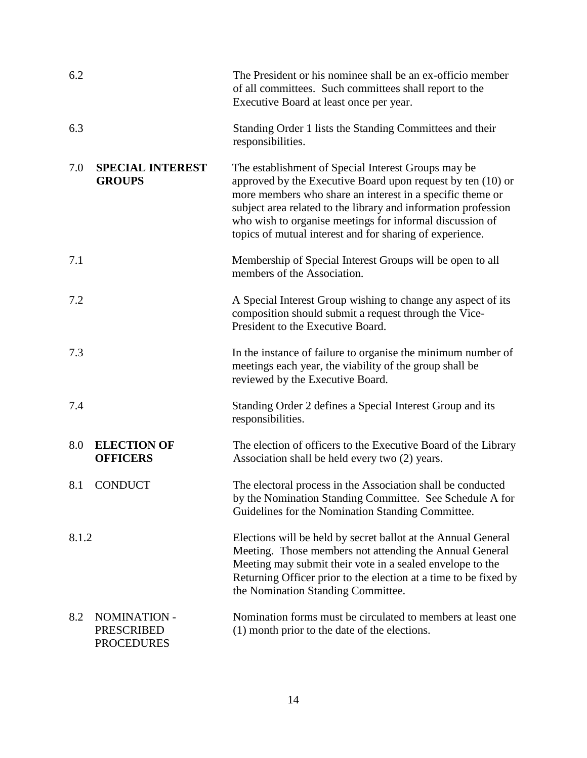| 6.2   |                                                        | The President or his nominee shall be an ex-officio member<br>of all committees. Such committees shall report to the<br>Executive Board at least once per year.                                                                                                                                                                                                           |
|-------|--------------------------------------------------------|---------------------------------------------------------------------------------------------------------------------------------------------------------------------------------------------------------------------------------------------------------------------------------------------------------------------------------------------------------------------------|
| 6.3   |                                                        | Standing Order 1 lists the Standing Committees and their<br>responsibilities.                                                                                                                                                                                                                                                                                             |
| 7.0   | <b>SPECIAL INTEREST</b><br><b>GROUPS</b>               | The establishment of Special Interest Groups may be<br>approved by the Executive Board upon request by ten (10) or<br>more members who share an interest in a specific theme or<br>subject area related to the library and information profession<br>who wish to organise meetings for informal discussion of<br>topics of mutual interest and for sharing of experience. |
| 7.1   |                                                        | Membership of Special Interest Groups will be open to all<br>members of the Association.                                                                                                                                                                                                                                                                                  |
| 7.2   |                                                        | A Special Interest Group wishing to change any aspect of its<br>composition should submit a request through the Vice-<br>President to the Executive Board.                                                                                                                                                                                                                |
| 7.3   |                                                        | In the instance of failure to organise the minimum number of<br>meetings each year, the viability of the group shall be<br>reviewed by the Executive Board.                                                                                                                                                                                                               |
| 7.4   |                                                        | Standing Order 2 defines a Special Interest Group and its<br>responsibilities.                                                                                                                                                                                                                                                                                            |
| 8.0   | <b>ELECTION OF</b><br><b>OFFICERS</b>                  | The election of officers to the Executive Board of the Library<br>Association shall be held every two (2) years.                                                                                                                                                                                                                                                          |
| 8.1   | <b>CONDUCT</b>                                         | The electoral process in the Association shall be conducted<br>by the Nomination Standing Committee. See Schedule A for<br>Guidelines for the Nomination Standing Committee.                                                                                                                                                                                              |
| 8.1.2 |                                                        | Elections will be held by secret ballot at the Annual General<br>Meeting. Those members not attending the Annual General<br>Meeting may submit their vote in a sealed envelope to the<br>Returning Officer prior to the election at a time to be fixed by<br>the Nomination Standing Committee.                                                                           |
| 8.2   | NOMINATION -<br><b>PRESCRIBED</b><br><b>PROCEDURES</b> | Nomination forms must be circulated to members at least one<br>(1) month prior to the date of the elections.                                                                                                                                                                                                                                                              |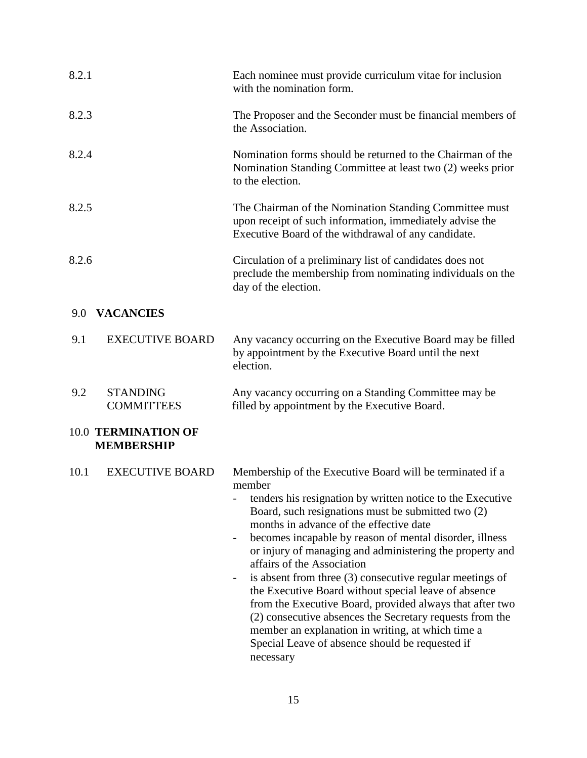| 8.2.1 |                                          | Each nominee must provide curriculum vitae for inclusion<br>with the nomination form.                                                                                                                                                                                                                                                                                                                                                                                                                                                                                                                                                                                                                                                                                                                                |
|-------|------------------------------------------|----------------------------------------------------------------------------------------------------------------------------------------------------------------------------------------------------------------------------------------------------------------------------------------------------------------------------------------------------------------------------------------------------------------------------------------------------------------------------------------------------------------------------------------------------------------------------------------------------------------------------------------------------------------------------------------------------------------------------------------------------------------------------------------------------------------------|
| 8.2.3 |                                          | The Proposer and the Seconder must be financial members of<br>the Association.                                                                                                                                                                                                                                                                                                                                                                                                                                                                                                                                                                                                                                                                                                                                       |
| 8.2.4 |                                          | Nomination forms should be returned to the Chairman of the<br>Nomination Standing Committee at least two (2) weeks prior<br>to the election.                                                                                                                                                                                                                                                                                                                                                                                                                                                                                                                                                                                                                                                                         |
| 8.2.5 |                                          | The Chairman of the Nomination Standing Committee must<br>upon receipt of such information, immediately advise the<br>Executive Board of the withdrawal of any candidate.                                                                                                                                                                                                                                                                                                                                                                                                                                                                                                                                                                                                                                            |
| 8.2.6 |                                          | Circulation of a preliminary list of candidates does not<br>preclude the membership from nominating individuals on the<br>day of the election.                                                                                                                                                                                                                                                                                                                                                                                                                                                                                                                                                                                                                                                                       |
| 9.0   | <b>VACANCIES</b>                         |                                                                                                                                                                                                                                                                                                                                                                                                                                                                                                                                                                                                                                                                                                                                                                                                                      |
| 9.1   | <b>EXECUTIVE BOARD</b>                   | Any vacancy occurring on the Executive Board may be filled<br>by appointment by the Executive Board until the next<br>election.                                                                                                                                                                                                                                                                                                                                                                                                                                                                                                                                                                                                                                                                                      |
| 9.2   | <b>STANDING</b><br><b>COMMITTEES</b>     | Any vacancy occurring on a Standing Committee may be<br>filled by appointment by the Executive Board.                                                                                                                                                                                                                                                                                                                                                                                                                                                                                                                                                                                                                                                                                                                |
|       | 10.0 TERMINATION OF<br><b>MEMBERSHIP</b> |                                                                                                                                                                                                                                                                                                                                                                                                                                                                                                                                                                                                                                                                                                                                                                                                                      |
| 10.1  | <b>EXECUTIVE BOARD</b>                   | Membership of the Executive Board will be terminated if a<br>member<br>tenders his resignation by written notice to the Executive<br>Board, such resignations must be submitted two (2)<br>months in advance of the effective date<br>becomes incapable by reason of mental disorder, illness<br>$\overline{\phantom{a}}$<br>or injury of managing and administering the property and<br>affairs of the Association<br>is absent from three (3) consecutive regular meetings of<br>$\qquad \qquad \blacksquare$<br>the Executive Board without special leave of absence<br>from the Executive Board, provided always that after two<br>(2) consecutive absences the Secretary requests from the<br>member an explanation in writing, at which time a<br>Special Leave of absence should be requested if<br>necessary |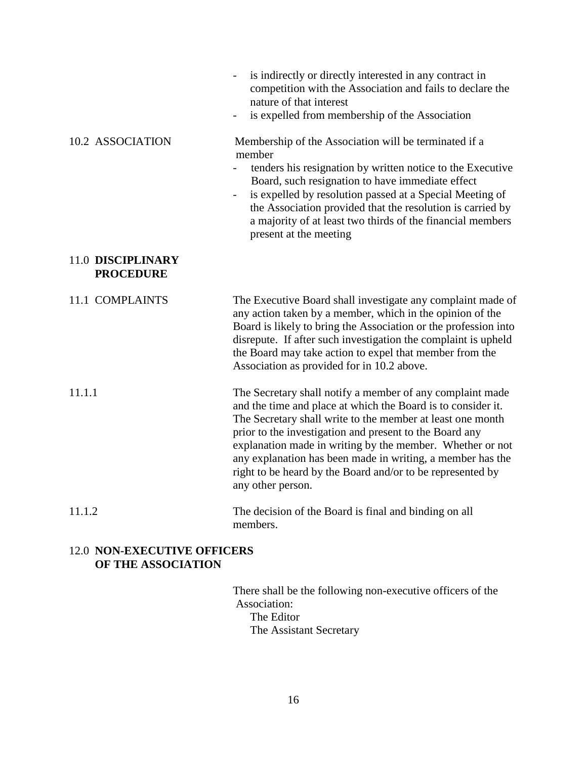|                                       | is indirectly or directly interested in any contract in<br>competition with the Association and fails to declare the<br>nature of that interest<br>is expelled from membership of the Association                                                                                                                                                                                                                                                                |
|---------------------------------------|------------------------------------------------------------------------------------------------------------------------------------------------------------------------------------------------------------------------------------------------------------------------------------------------------------------------------------------------------------------------------------------------------------------------------------------------------------------|
| 10.2 ASSOCIATION                      | Membership of the Association will be terminated if a<br>member<br>tenders his resignation by written notice to the Executive<br>Board, such resignation to have immediate effect<br>is expelled by resolution passed at a Special Meeting of<br>$\overline{\phantom{a}}$<br>the Association provided that the resolution is carried by<br>a majority of at least two thirds of the financial members<br>present at the meeting                                  |
| 11.0 DISCIPLINARY<br><b>PROCEDURE</b> |                                                                                                                                                                                                                                                                                                                                                                                                                                                                  |
| 11.1 COMPLAINTS                       | The Executive Board shall investigate any complaint made of<br>any action taken by a member, which in the opinion of the<br>Board is likely to bring the Association or the profession into<br>disrepute. If after such investigation the complaint is upheld<br>the Board may take action to expel that member from the<br>Association as provided for in 10.2 above.                                                                                           |
| 11.1.1                                | The Secretary shall notify a member of any complaint made<br>and the time and place at which the Board is to consider it.<br>The Secretary shall write to the member at least one month<br>prior to the investigation and present to the Board any<br>explanation made in writing by the member. Whether or not<br>any explanation has been made in writing, a member has the<br>right to be heard by the Board and/or to be represented by<br>any other person. |
| 11.1.2                                | The decision of the Board is final and binding on all<br>members.                                                                                                                                                                                                                                                                                                                                                                                                |

### 12.0 **NON-EXECUTIVE OFFICERS OF THE ASSOCIATION**

There shall be the following non-executive officers of the Association: The Editor The Assistant Secretary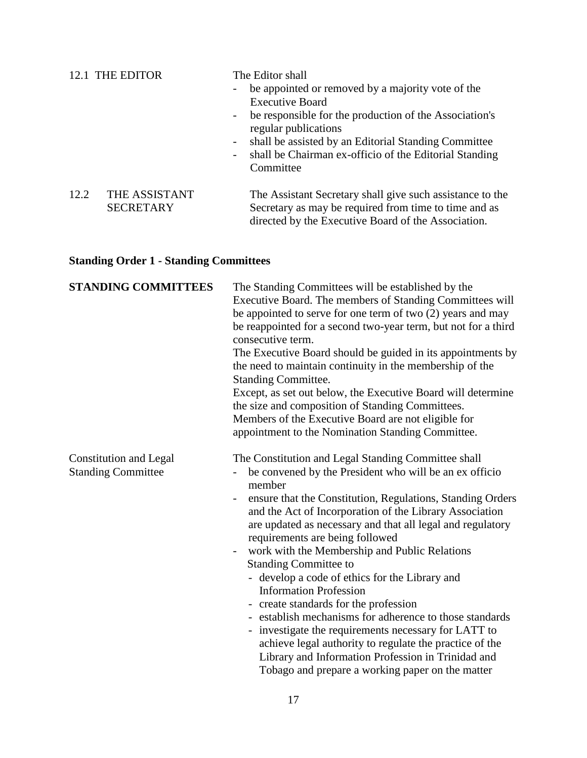|      | 12.1 THE EDITOR                   | The Editor shall                                                                                                                                                                                                                                                                                            |
|------|-----------------------------------|-------------------------------------------------------------------------------------------------------------------------------------------------------------------------------------------------------------------------------------------------------------------------------------------------------------|
|      |                                   | be appointed or removed by a majority vote of the<br><b>Executive Board</b><br>be responsible for the production of the Association's<br>$\sim$<br>regular publications<br>shall be assisted by an Editorial Standing Committee<br>shall be Chairman ex-officio of the Editorial Standing<br>-<br>Committee |
| 12.2 | THE ASSISTANT<br><b>SECRETARY</b> | The Assistant Secretary shall give such assistance to the<br>Secretary as may be required from time to time and as<br>directed by the Executive Board of the Association.                                                                                                                                   |

### **Standing Order 1 - Standing Committees**

| <b>STANDING COMMITTEES</b>                                 | The Standing Committees will be established by the<br>Executive Board. The members of Standing Committees will<br>be appointed to serve for one term of two $(2)$ years and may<br>be reappointed for a second two-year term, but not for a third<br>consecutive term.<br>The Executive Board should be guided in its appointments by<br>the need to maintain continuity in the membership of the<br><b>Standing Committee.</b><br>Except, as set out below, the Executive Board will determine<br>the size and composition of Standing Committees.<br>Members of the Executive Board are not eligible for<br>appointment to the Nomination Standing Committee.                                                                                                                                                                                                                                      |
|------------------------------------------------------------|------------------------------------------------------------------------------------------------------------------------------------------------------------------------------------------------------------------------------------------------------------------------------------------------------------------------------------------------------------------------------------------------------------------------------------------------------------------------------------------------------------------------------------------------------------------------------------------------------------------------------------------------------------------------------------------------------------------------------------------------------------------------------------------------------------------------------------------------------------------------------------------------------|
| <b>Constitution and Legal</b><br><b>Standing Committee</b> | The Constitution and Legal Standing Committee shall<br>be convened by the President who will be an ex officio<br>member<br>ensure that the Constitution, Regulations, Standing Orders<br>$\overline{\phantom{a}}$<br>and the Act of Incorporation of the Library Association<br>are updated as necessary and that all legal and regulatory<br>requirements are being followed<br>work with the Membership and Public Relations<br>$\overline{a}$<br><b>Standing Committee to</b><br>- develop a code of ethics for the Library and<br><b>Information Profession</b><br>- create standards for the profession<br>- establish mechanisms for adherence to those standards<br>- investigate the requirements necessary for LATT to<br>achieve legal authority to regulate the practice of the<br>Library and Information Profession in Trinidad and<br>Tobago and prepare a working paper on the matter |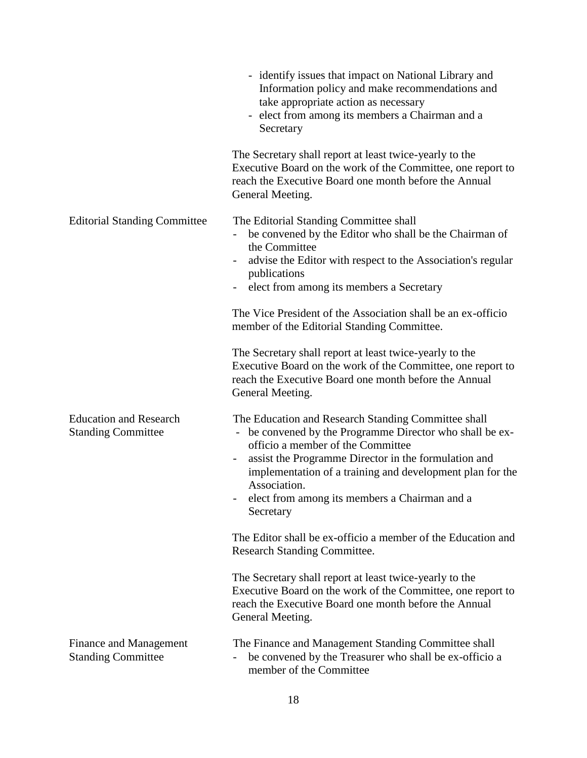|                                                            | - identify issues that impact on National Library and<br>Information policy and make recommendations and<br>take appropriate action as necessary<br>elect from among its members a Chairman and a<br>Secretary                                                                                                                                        |
|------------------------------------------------------------|-------------------------------------------------------------------------------------------------------------------------------------------------------------------------------------------------------------------------------------------------------------------------------------------------------------------------------------------------------|
|                                                            | The Secretary shall report at least twice-yearly to the<br>Executive Board on the work of the Committee, one report to<br>reach the Executive Board one month before the Annual<br>General Meeting.                                                                                                                                                   |
| <b>Editorial Standing Committee</b>                        | The Editorial Standing Committee shall<br>be convened by the Editor who shall be the Chairman of<br>the Committee<br>advise the Editor with respect to the Association's regular<br>publications<br>elect from among its members a Secretary                                                                                                          |
|                                                            | The Vice President of the Association shall be an ex-officio<br>member of the Editorial Standing Committee.                                                                                                                                                                                                                                           |
|                                                            | The Secretary shall report at least twice-yearly to the<br>Executive Board on the work of the Committee, one report to<br>reach the Executive Board one month before the Annual<br>General Meeting.                                                                                                                                                   |
| <b>Education and Research</b><br><b>Standing Committee</b> | The Education and Research Standing Committee shall<br>be convened by the Programme Director who shall be ex-<br>officio a member of the Committee<br>assist the Programme Director in the formulation and<br>implementation of a training and development plan for the<br>Association.<br>elect from among its members a Chairman and a<br>Secretary |
|                                                            | The Editor shall be ex-officio a member of the Education and<br><b>Research Standing Committee.</b>                                                                                                                                                                                                                                                   |
|                                                            | The Secretary shall report at least twice-yearly to the<br>Executive Board on the work of the Committee, one report to<br>reach the Executive Board one month before the Annual<br>General Meeting.                                                                                                                                                   |
| Finance and Management<br><b>Standing Committee</b>        | The Finance and Management Standing Committee shall<br>be convened by the Treasurer who shall be ex-officio a<br>member of the Committee                                                                                                                                                                                                              |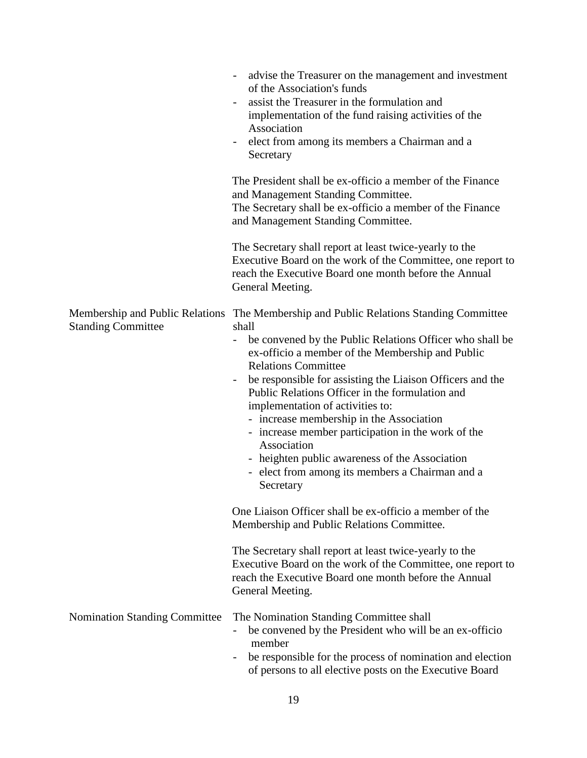|                                                              | advise the Treasurer on the management and investment<br>of the Association's funds<br>assist the Treasurer in the formulation and<br>implementation of the fund raising activities of the<br>Association<br>elect from among its members a Chairman and a<br>$\blacksquare$<br>Secretary                                                                                                                                                                                                                                                                                                            |
|--------------------------------------------------------------|------------------------------------------------------------------------------------------------------------------------------------------------------------------------------------------------------------------------------------------------------------------------------------------------------------------------------------------------------------------------------------------------------------------------------------------------------------------------------------------------------------------------------------------------------------------------------------------------------|
|                                                              | The President shall be ex-officio a member of the Finance<br>and Management Standing Committee.<br>The Secretary shall be ex-officio a member of the Finance<br>and Management Standing Committee.                                                                                                                                                                                                                                                                                                                                                                                                   |
|                                                              | The Secretary shall report at least twice-yearly to the<br>Executive Board on the work of the Committee, one report to<br>reach the Executive Board one month before the Annual<br>General Meeting.                                                                                                                                                                                                                                                                                                                                                                                                  |
| Membership and Public Relations<br><b>Standing Committee</b> | The Membership and Public Relations Standing Committee<br>shall<br>be convened by the Public Relations Officer who shall be<br>ex-officio a member of the Membership and Public<br><b>Relations Committee</b><br>be responsible for assisting the Liaison Officers and the<br>Public Relations Officer in the formulation and<br>implementation of activities to:<br>- increase membership in the Association<br>- increase member participation in the work of the<br>Association<br>- heighten public awareness of the Association<br>- elect from among its members a Chairman and a<br>Secretary |
|                                                              | One Liaison Officer shall be ex-officio a member of the<br>Membership and Public Relations Committee.                                                                                                                                                                                                                                                                                                                                                                                                                                                                                                |
|                                                              | The Secretary shall report at least twice-yearly to the<br>Executive Board on the work of the Committee, one report to<br>reach the Executive Board one month before the Annual<br>General Meeting.                                                                                                                                                                                                                                                                                                                                                                                                  |
| <b>Nomination Standing Committee</b>                         | The Nomination Standing Committee shall<br>be convened by the President who will be an ex-officio<br>member<br>be responsible for the process of nomination and election<br>of persons to all elective posts on the Executive Board                                                                                                                                                                                                                                                                                                                                                                  |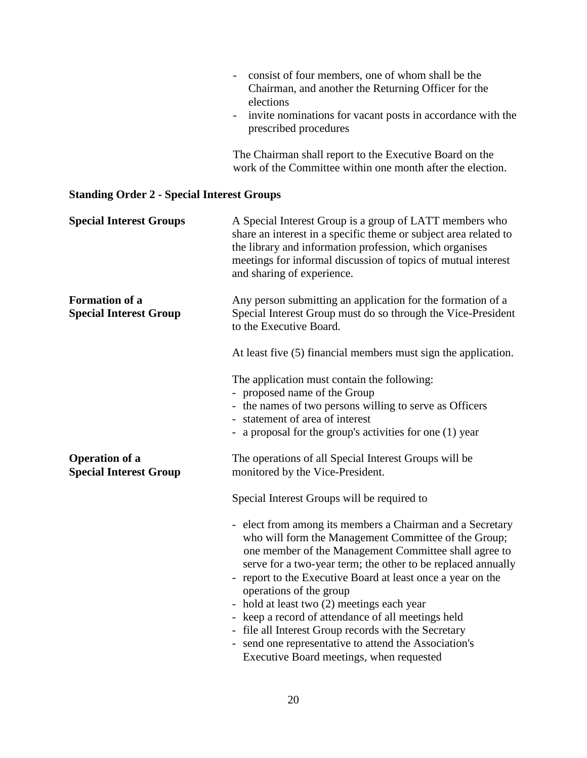|                                                        | consist of four members, one of whom shall be the<br>Chairman, and another the Returning Officer for the<br>elections<br>invite nominations for vacant posts in accordance with the<br>$\overline{\phantom{a}}$<br>prescribed procedures<br>The Chairman shall report to the Executive Board on the<br>work of the Committee within one month after the election.                                                                                                                                                                                                                                   |
|--------------------------------------------------------|-----------------------------------------------------------------------------------------------------------------------------------------------------------------------------------------------------------------------------------------------------------------------------------------------------------------------------------------------------------------------------------------------------------------------------------------------------------------------------------------------------------------------------------------------------------------------------------------------------|
| <b>Standing Order 2 - Special Interest Groups</b>      |                                                                                                                                                                                                                                                                                                                                                                                                                                                                                                                                                                                                     |
| <b>Special Interest Groups</b>                         | A Special Interest Group is a group of LATT members who<br>share an interest in a specific theme or subject area related to<br>the library and information profession, which organises<br>meetings for informal discussion of topics of mutual interest<br>and sharing of experience.                                                                                                                                                                                                                                                                                                               |
| <b>Formation of a</b><br><b>Special Interest Group</b> | Any person submitting an application for the formation of a<br>Special Interest Group must do so through the Vice-President<br>to the Executive Board.                                                                                                                                                                                                                                                                                                                                                                                                                                              |
|                                                        | At least five (5) financial members must sign the application.                                                                                                                                                                                                                                                                                                                                                                                                                                                                                                                                      |
|                                                        | The application must contain the following:<br>- proposed name of the Group<br>- the names of two persons willing to serve as Officers<br>- statement of area of interest<br>- a proposal for the group's activities for one (1) year                                                                                                                                                                                                                                                                                                                                                               |
| <b>Operation of a</b><br><b>Special Interest Group</b> | The operations of all Special Interest Groups will be<br>monitored by the Vice-President.                                                                                                                                                                                                                                                                                                                                                                                                                                                                                                           |
|                                                        | Special Interest Groups will be required to                                                                                                                                                                                                                                                                                                                                                                                                                                                                                                                                                         |
|                                                        | - elect from among its members a Chairman and a Secretary<br>who will form the Management Committee of the Group;<br>one member of the Management Committee shall agree to<br>serve for a two-year term; the other to be replaced annually<br>report to the Executive Board at least once a year on the<br>operations of the group<br>- hold at least two (2) meetings each year<br>- keep a record of attendance of all meetings held<br>- file all Interest Group records with the Secretary<br>- send one representative to attend the Association's<br>Executive Board meetings, when requested |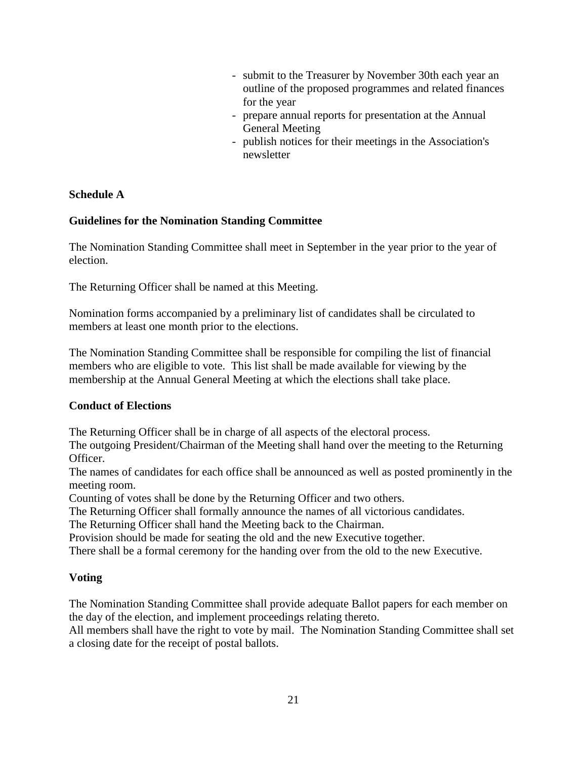- submit to the Treasurer by November 30th each year an outline of the proposed programmes and related finances for the year
- prepare annual reports for presentation at the Annual General Meeting
- publish notices for their meetings in the Association's newsletter

### **Schedule A**

### **Guidelines for the Nomination Standing Committee**

The Nomination Standing Committee shall meet in September in the year prior to the year of election.

The Returning Officer shall be named at this Meeting.

Nomination forms accompanied by a preliminary list of candidates shall be circulated to members at least one month prior to the elections.

The Nomination Standing Committee shall be responsible for compiling the list of financial members who are eligible to vote. This list shall be made available for viewing by the membership at the Annual General Meeting at which the elections shall take place.

### **Conduct of Elections**

The Returning Officer shall be in charge of all aspects of the electoral process.

The outgoing President/Chairman of the Meeting shall hand over the meeting to the Returning Officer.

The names of candidates for each office shall be announced as well as posted prominently in the meeting room.

Counting of votes shall be done by the Returning Officer and two others.

The Returning Officer shall formally announce the names of all victorious candidates.

The Returning Officer shall hand the Meeting back to the Chairman.

Provision should be made for seating the old and the new Executive together.

There shall be a formal ceremony for the handing over from the old to the new Executive.

### **Voting**

The Nomination Standing Committee shall provide adequate Ballot papers for each member on the day of the election, and implement proceedings relating thereto.

All members shall have the right to vote by mail. The Nomination Standing Committee shall set a closing date for the receipt of postal ballots.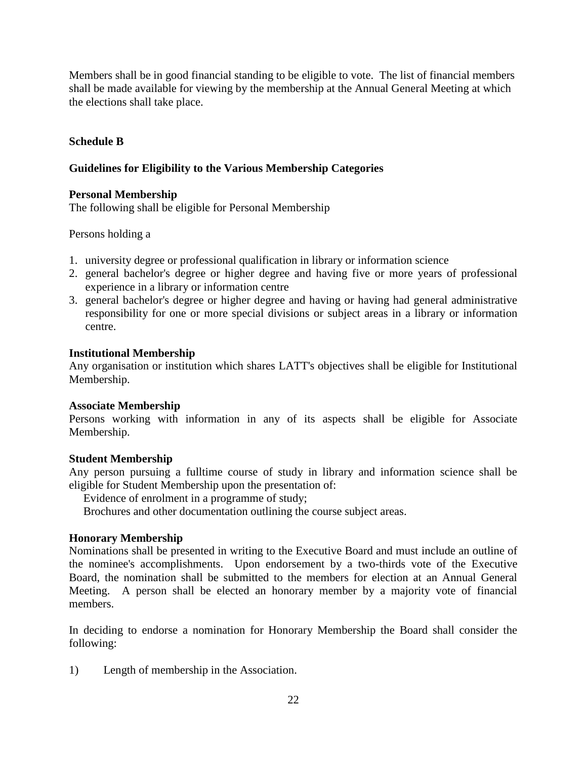Members shall be in good financial standing to be eligible to vote. The list of financial members shall be made available for viewing by the membership at the Annual General Meeting at which the elections shall take place.

### **Schedule B**

### **Guidelines for Eligibility to the Various Membership Categories**

### **Personal Membership**

The following shall be eligible for Personal Membership

### Persons holding a

- 1. university degree or professional qualification in library or information science
- 2. general bachelor's degree or higher degree and having five or more years of professional experience in a library or information centre
- 3. general bachelor's degree or higher degree and having or having had general administrative responsibility for one or more special divisions or subject areas in a library or information centre.

### **Institutional Membership**

Any organisation or institution which shares LATT's objectives shall be eligible for Institutional Membership.

### **Associate Membership**

Persons working with information in any of its aspects shall be eligible for Associate Membership.

### **Student Membership**

Any person pursuing a fulltime course of study in library and information science shall be eligible for Student Membership upon the presentation of:

Evidence of enrolment in a programme of study;

Brochures and other documentation outlining the course subject areas.

### **Honorary Membership**

Nominations shall be presented in writing to the Executive Board and must include an outline of the nominee's accomplishments. Upon endorsement by a two-thirds vote of the Executive Board, the nomination shall be submitted to the members for election at an Annual General Meeting. A person shall be elected an honorary member by a majority vote of financial members.

In deciding to endorse a nomination for Honorary Membership the Board shall consider the following:

1) Length of membership in the Association.